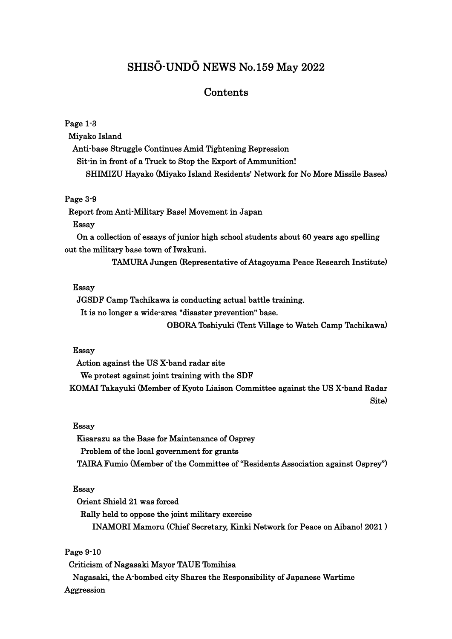# SHISŌ-UNDŌ NEWS No.159 May 2022

## Contents

## Page 1-3 Miyako Island Anti-base Struggle Continues Amid Tightening Repression Sit-in in front of a Truck to Stop the Export of Ammunition! SHIMIZU Hayako (Miyako Island Residents' Network for No More Missile Bases)

## Page 3-9

Report from Anti-Military Base! Movement in Japan

#### Essay

On a collection of essays of junior high school students about 60 years ago spelling out the military base town of Iwakuni.

TAMURA Jungen (Representative of Atagoyama Peace Research Institute)

#### Essay

JGSDF Camp Tachikawa is conducting actual battle training.

It is no longer a wide-area "disaster prevention" base.

OBORA Toshiyuki (Tent Village to Watch Camp Tachikawa)

### Essay

Action against the US X-band radar site We protest against joint training with the SDF KOMAI Takayuki (Member of Kyoto Liaison Committee against the US X-band Radar Site)

#### Essay

Kisarazu as the Base for Maintenance of Osprey Problem of the local government for grants TAIRA Fumio (Member of the Committee of "Residents Association against Osprey")

### Essay

Orient Shield 21 was forced

Rally held to oppose the joint military exercise INAMORI Mamoru (Chief Secretary, Kinki Network for Peace on Aibano! 2021 )

## Page 9-10

 Criticism of Nagasaki Mayor TAUE Tomihisa Nagasaki, the A-bombed city Shares the Responsibility of Japanese Wartime Aggression